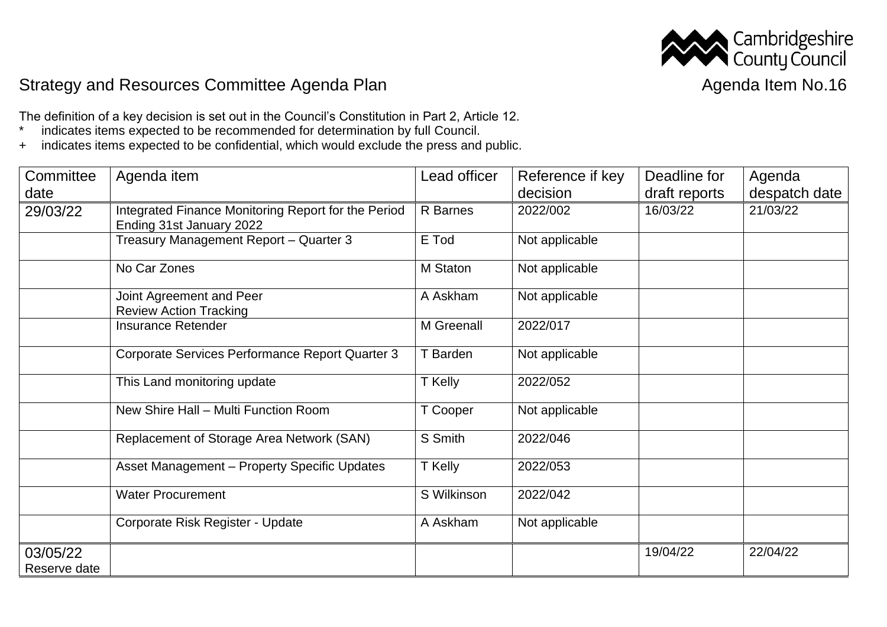

## Strategy and Resources Committee Agenda Plan Agenda Item No.16

The definition of a key decision is set out in the Council's Constitution in Part 2, Article 12.<br>\* indicates items expected to be recommended for determination by full Council indicates items expected to be recommended for determination by full Council.

+ indicates items expected to be confidential, which would exclude the press and public.

| Committee<br>date        | Agenda item                                                                     | Lead officer | Reference if key<br>decision | Deadline for<br>draft reports | Agenda<br>despatch date |
|--------------------------|---------------------------------------------------------------------------------|--------------|------------------------------|-------------------------------|-------------------------|
| 29/03/22                 | Integrated Finance Monitoring Report for the Period<br>Ending 31st January 2022 | R Barnes     | 2022/002                     | 16/03/22                      | 21/03/22                |
|                          | Treasury Management Report - Quarter 3                                          | E Tod        | Not applicable               |                               |                         |
|                          | No Car Zones                                                                    | M Staton     | Not applicable               |                               |                         |
|                          | Joint Agreement and Peer<br><b>Review Action Tracking</b>                       | A Askham     | Not applicable               |                               |                         |
|                          | <b>Insurance Retender</b>                                                       | M Greenall   | 2022/017                     |                               |                         |
|                          | Corporate Services Performance Report Quarter 3                                 | T Barden     | Not applicable               |                               |                         |
|                          | This Land monitoring update                                                     | T Kelly      | 2022/052                     |                               |                         |
|                          | New Shire Hall - Multi Function Room                                            | T Cooper     | Not applicable               |                               |                         |
|                          | Replacement of Storage Area Network (SAN)                                       | S Smith      | 2022/046                     |                               |                         |
|                          | Asset Management - Property Specific Updates                                    | T Kelly      | 2022/053                     |                               |                         |
|                          | <b>Water Procurement</b>                                                        | S Wilkinson  | 2022/042                     |                               |                         |
|                          | Corporate Risk Register - Update                                                | A Askham     | Not applicable               |                               |                         |
| 03/05/22<br>Reserve date |                                                                                 |              |                              | 19/04/22                      | 22/04/22                |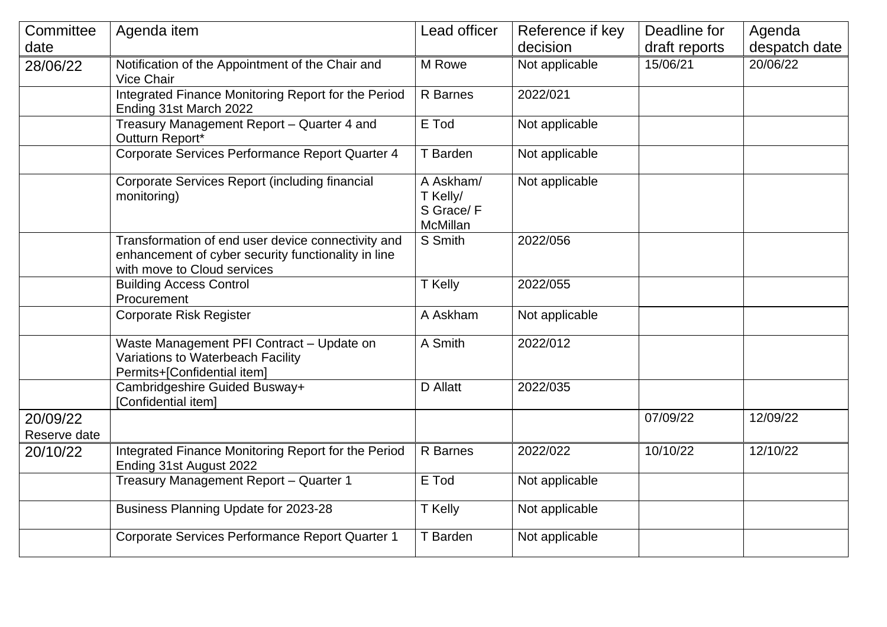| Committee                | Agenda item                                                                                                                              | Lead officer                                   | Reference if key | Deadline for  | Agenda        |
|--------------------------|------------------------------------------------------------------------------------------------------------------------------------------|------------------------------------------------|------------------|---------------|---------------|
| date                     |                                                                                                                                          |                                                | decision         | draft reports | despatch date |
| 28/06/22                 | Notification of the Appointment of the Chair and<br><b>Vice Chair</b>                                                                    | M Rowe                                         | Not applicable   | 15/06/21      | 20/06/22      |
|                          | Integrated Finance Monitoring Report for the Period<br>Ending 31st March 2022                                                            | R Barnes                                       | 2022/021         |               |               |
|                          | Treasury Management Report - Quarter 4 and<br>Outturn Report*                                                                            | E Tod                                          | Not applicable   |               |               |
|                          | Corporate Services Performance Report Quarter 4                                                                                          | T Barden                                       | Not applicable   |               |               |
|                          | Corporate Services Report (including financial<br>monitoring)                                                                            | A Askham/<br>T Kelly/<br>S Grace/F<br>McMillan | Not applicable   |               |               |
|                          | Transformation of end user device connectivity and<br>enhancement of cyber security functionality in line<br>with move to Cloud services | S Smith                                        | 2022/056         |               |               |
|                          | <b>Building Access Control</b><br>Procurement                                                                                            | T Kelly                                        | 2022/055         |               |               |
|                          | <b>Corporate Risk Register</b>                                                                                                           | A Askham                                       | Not applicable   |               |               |
|                          | Waste Management PFI Contract - Update on<br>Variations to Waterbeach Facility<br>Permits+[Confidential item]                            | A Smith                                        | 2022/012         |               |               |
|                          | Cambridgeshire Guided Busway+<br>[Confidential item]                                                                                     | <b>D</b> Allatt                                | 2022/035         |               |               |
| 20/09/22<br>Reserve date |                                                                                                                                          |                                                |                  | 07/09/22      | 12/09/22      |
| 20/10/22                 | Integrated Finance Monitoring Report for the Period<br>Ending 31st August 2022                                                           | R Barnes                                       | 2022/022         | 10/10/22      | 12/10/22      |
|                          | Treasury Management Report - Quarter 1                                                                                                   | E Tod                                          | Not applicable   |               |               |
|                          | Business Planning Update for 2023-28                                                                                                     | T Kelly                                        | Not applicable   |               |               |
|                          | Corporate Services Performance Report Quarter 1                                                                                          | T Barden                                       | Not applicable   |               |               |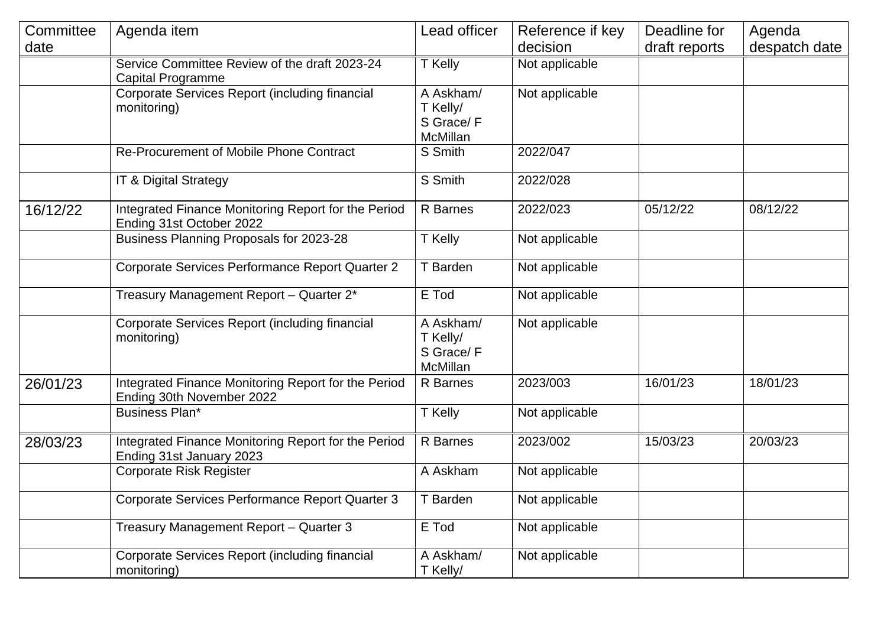| Committee | Agenda item                                                                      | Lead officer                                          | Reference if key | Deadline for  | Agenda        |
|-----------|----------------------------------------------------------------------------------|-------------------------------------------------------|------------------|---------------|---------------|
| date      |                                                                                  |                                                       | decision         | draft reports | despatch date |
|           | Service Committee Review of the draft 2023-24<br><b>Capital Programme</b>        | T Kelly                                               | Not applicable   |               |               |
|           | Corporate Services Report (including financial<br>monitoring)                    | A Askham/<br>T Kelly/<br>S Grace/F<br>McMillan        | Not applicable   |               |               |
|           | Re-Procurement of Mobile Phone Contract                                          | S Smith                                               | 2022/047         |               |               |
|           | IT & Digital Strategy                                                            | S Smith                                               | 2022/028         |               |               |
| 16/12/22  | Integrated Finance Monitoring Report for the Period<br>Ending 31st October 2022  | R Barnes                                              | 2022/023         | 05/12/22      | 08/12/22      |
|           | Business Planning Proposals for 2023-28                                          | T Kelly                                               | Not applicable   |               |               |
|           | Corporate Services Performance Report Quarter 2                                  | T Barden                                              | Not applicable   |               |               |
|           | Treasury Management Report - Quarter 2*                                          | E Tod                                                 | Not applicable   |               |               |
|           | Corporate Services Report (including financial<br>monitoring)                    | A Askham/<br>T Kelly/<br>S Grace/F<br><b>McMillan</b> | Not applicable   |               |               |
| 26/01/23  | Integrated Finance Monitoring Report for the Period<br>Ending 30th November 2022 | R Barnes                                              | 2023/003         | 16/01/23      | 18/01/23      |
|           | <b>Business Plan*</b>                                                            | T Kelly                                               | Not applicable   |               |               |
| 28/03/23  | Integrated Finance Monitoring Report for the Period<br>Ending 31st January 2023  | R Barnes                                              | 2023/002         | 15/03/23      | 20/03/23      |
|           | Corporate Risk Register                                                          | A Askham                                              | Not applicable   |               |               |
|           | Corporate Services Performance Report Quarter 3                                  | T Barden                                              | Not applicable   |               |               |
|           | Treasury Management Report - Quarter 3                                           | E Tod                                                 | Not applicable   |               |               |
|           | Corporate Services Report (including financial<br>monitoring)                    | A Askham/<br>T Kelly/                                 | Not applicable   |               |               |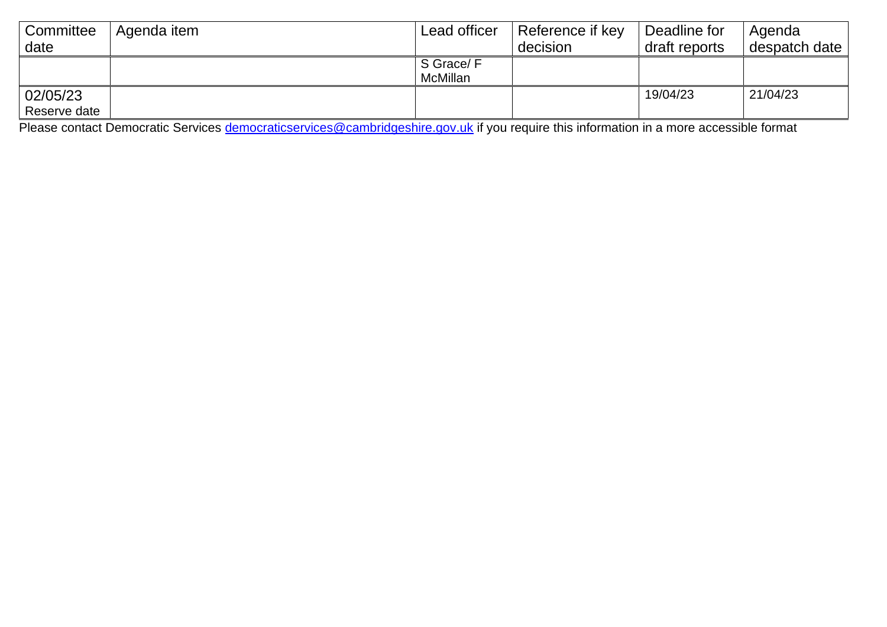| Committee                | Agenda item | Lead officer          | Reference if key | Deadline for  | Agenda        |
|--------------------------|-------------|-----------------------|------------------|---------------|---------------|
| date                     |             |                       | decision         | draft reports | despatch date |
|                          |             | S Grace/F<br>McMillan |                  |               |               |
| 02/05/23<br>Reserve date |             |                       |                  | 19/04/23      | 21/04/23      |

Please contact Democratic Services <u>democraticservices@cambridgeshire.gov.uk</u> if you require this information in a more accessible format